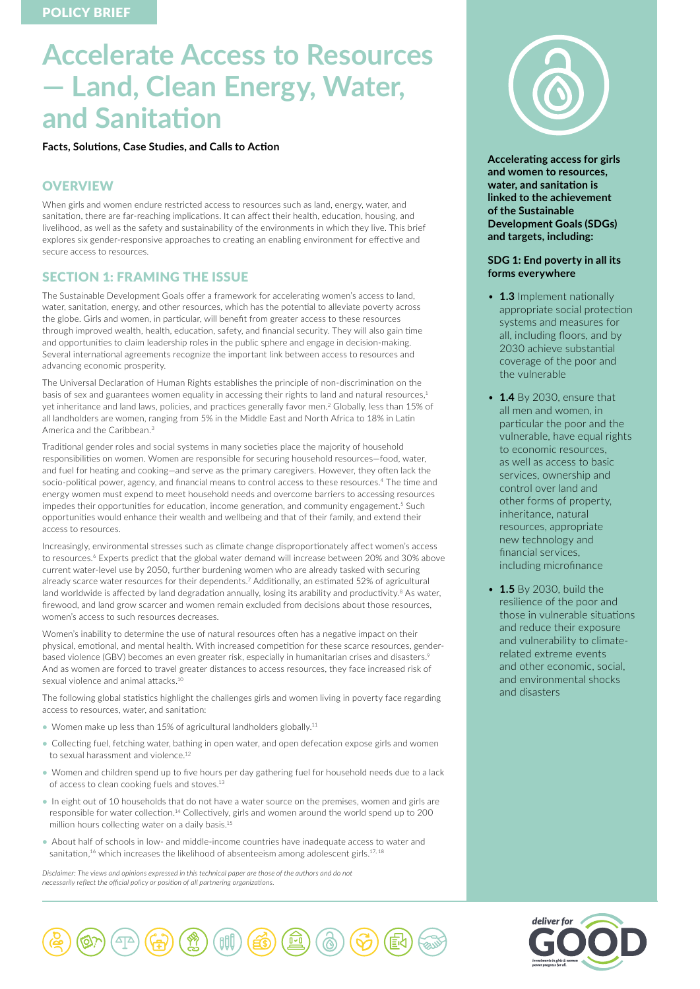# **Accelerate Access to Resources — Land, Clean Energy, Water, and Sanitation**

**Facts, Solutions, Case Studies, and Calls to Action**

# **OVERVIEW**

When girls and women endure restricted access to resources such as land, energy, water, and sanitation, there are far-reaching implications. It can affect their health, education, housing, and livelihood, as well as the safety and sustainability of the environments in which they live. This brief explores six gender-responsive approaches to creating an enabling environment for effective and secure access to resources.

# SECTION 1: FRAMING THE ISSUE

The Sustainable Development Goals offer a framework for accelerating women's access to land, water, sanitation, energy, and other resources, which has the potential to alleviate poverty across the globe. Girls and women, in particular, will benefit from greater access to these resources through improved wealth, health, education, safety, and financial security. They will also gain time and opportunities to claim leadership roles in the public sphere and engage in decision-making. Several international agreements recognize the important link between access to resources and advancing economic prosperity.

The Universal Declaration of Human Rights establishes the principle of non-discrimination on the basis of sex and guarantees women equality in accessing their rights to land and natural resources,<sup>1</sup> yet inheritance and land laws, policies, and practices generally favor men.2 Globally, less than 15% of all landholders are women, ranging from 5% in the Middle East and North Africa to 18% in Latin America and the Caribbean.<sup>3</sup>

Traditional gender roles and social systems in many societies place the majority of household responsibilities on women. Women are responsible for securing household resources—food, water, and fuel for heating and cooking—and serve as the primary caregivers. However, they often lack the socio-political power, agency, and financial means to control access to these resources.<sup>4</sup> The time and energy women must expend to meet household needs and overcome barriers to accessing resources impedes their opportunities for education, income generation, and community engagement.<sup>5</sup> Such opportunities would enhance their wealth and wellbeing and that of their family, and extend their access to resources.

Increasingly, environmental stresses such as climate change disproportionately affect women's access to resources.<sup>6</sup> Experts predict that the global water demand will increase between 20% and 30% above current water-level use by 2050, further burdening women who are already tasked with securing already scarce water resources for their dependents.7 Additionally, an estimated 52% of agricultural land worldwide is affected by land degradation annually, losing its arability and productivity.<sup>8</sup> As water, firewood, and land grow scarcer and women remain excluded from decisions about those resources, women's access to such resources decreases.

Women's inability to determine the use of natural resources often has a negative impact on their physical, emotional, and mental health. With increased competition for these scarce resources, genderbased violence (GBV) becomes an even greater risk, especially in humanitarian crises and disasters.<sup>9</sup> And as women are forced to travel greater distances to access resources, they face increased risk of sexual violence and animal attacks.<sup>10</sup>

The following global statistics highlight the challenges girls and women living in poverty face regarding access to resources, water, and sanitation:

- Women make up less than 15% of agricultural landholders globally.<sup>11</sup>
- Collecting fuel, fetching water, bathing in open water, and open defecation expose girls and women to sexual harassment and violence.<sup>12</sup>
- Women and children spend up to five hours per day gathering fuel for household needs due to a lack of access to clean cooking fuels and stoves.<sup>13</sup>
- In eight out of 10 households that do not have a water source on the premises, women and girls are responsible for water collection.14 Collectively, girls and women around the world spend up to 200 million hours collecting water on a daily basis.<sup>15</sup>
- About half of schools in low- and middle-income countries have inadequate access to water and sanitation,<sup>16</sup> which increases the likelihood of absenteeism among adolescent girls.<sup>17, 18</sup>

*Disclaimer: The views and opinions expressed in this technical paper are those of the authors and do not necessarily reflect the official policy or position of all partnering organizations.*



**Accelerating access for girls and women to resources, water, and sanitation is linked to the achievement of the Sustainable Development Goals (SDGs) and targets, including:** 

## **SDG 1: End poverty in all its forms everywhere**

- **1.3** Implement nationally appropriate social protection systems and measures for all, including floors, and by 2030 achieve substantial coverage of the poor and the vulnerable
- **1.4** By 2030, ensure that all men and women, in particular the poor and the vulnerable, have equal rights to economic resources, as well as access to basic services, ownership and control over land and other forms of property, inheritance, natural resources, appropriate new technology and financial services, including microfinance
- **1.5** By 2030, build the resilience of the poor and those in vulnerable situations and reduce their exposure and vulnerability to climaterelated extreme events and other economic, social, and environmental shocks and disasters



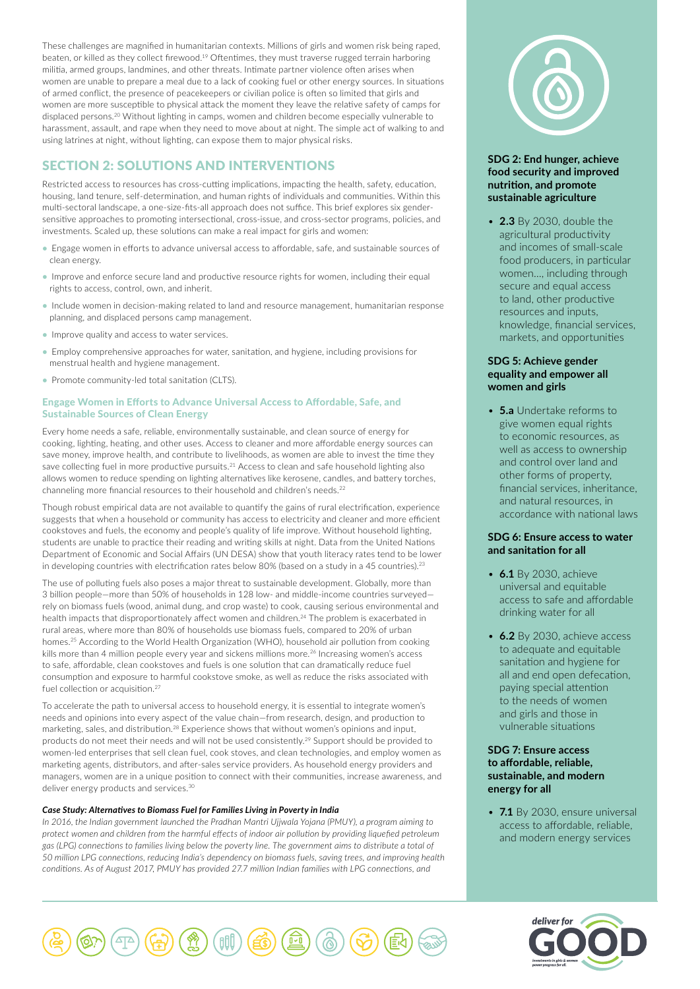These challenges are magnified in humanitarian contexts. Millions of girls and women risk being raped, beaten, or killed as they collect firewood.19 Oftentimes, they must traverse rugged terrain harboring militia, armed groups, landmines, and other threats. Intimate partner violence often arises when women are unable to prepare a meal due to a lack of cooking fuel or other energy sources. In situations of armed conflict, the presence of peacekeepers or civilian police is often so limited that girls and women are more susceptible to physical attack the moment they leave the relative safety of camps for displaced persons.20 Without lighting in camps, women and children become especially vulnerable to harassment, assault, and rape when they need to move about at night. The simple act of walking to and using latrines at night, without lighting, can expose them to major physical risks.

# SECTION 2: SOLUTIONS AND INTERVENTIONS

Restricted access to resources has cross-cutting implications, impacting the health, safety, education, housing, land tenure, self-determination, and human rights of individuals and communities. Within this multi-sectoral landscape, a one-size-fits-all approach does not suffice. This brief explores six gendersensitive approaches to promoting intersectional, cross-issue, and cross-sector programs, policies, and investments. Scaled up, these solutions can make a real impact for girls and women:

- Engage women in efforts to advance universal access to affordable, safe, and sustainable sources of clean energy.
- Improve and enforce secure land and productive resource rights for women, including their equal rights to access, control, own, and inherit.
- Include women in decision-making related to land and resource management, humanitarian response planning, and displaced persons camp management.
- Improve quality and access to water services.
- Employ comprehensive approaches for water, sanitation, and hygiene, including provisions for menstrual health and hygiene management.
- Promote community-led total sanitation (CLTS).

# Engage Women in Efforts to Advance Universal Access to Affordable, Safe, and Sustainable Sources of Clean Energy

Every home needs a safe, reliable, environmentally sustainable, and clean source of energy for cooking, lighting, heating, and other uses. Access to cleaner and more affordable energy sources can save money, improve health, and contribute to livelihoods, as women are able to invest the time they save collecting fuel in more productive pursuits.<sup>21</sup> Access to clean and safe household lighting also allows women to reduce spending on lighting alternatives like kerosene, candles, and battery torches, channeling more financial resources to their household and children's needs.<sup>22</sup>

Though robust empirical data are not available to quantify the gains of rural electrification, experience suggests that when a household or community has access to electricity and cleaner and more efficient cookstoves and fuels, the economy and people's quality of life improve. Without household lighting, students are unable to practice their reading and writing skills at night. Data from the United Nations Department of Economic and Social Affairs (UN DESA) show that youth literacy rates tend to be lower in developing countries with electrification rates below 80% (based on a study in a 45 countries).<sup>23</sup>

The use of polluting fuels also poses a major threat to sustainable development. Globally, more than 3 billion people—more than 50% of households in 128 low- and middle-income countries surveyed rely on biomass fuels (wood, animal dung, and crop waste) to cook, causing serious environmental and health impacts that disproportionately affect women and children.24 The problem is exacerbated in rural areas, where more than 80% of households use biomass fuels, compared to 20% of urban homes.<sup>25</sup> According to the World Health Organization (WHO), household air pollution from cooking kills more than 4 million people every year and sickens millions more.<sup>26</sup> Increasing women's access to safe, affordable, clean cookstoves and fuels is one solution that can dramatically reduce fuel consumption and exposure to harmful cookstove smoke, as well as reduce the risks associated with fuel collection or acquisition.<sup>27</sup>

To accelerate the path to universal access to household energy, it is essential to integrate women's needs and opinions into every aspect of the value chain—from research, design, and production to marketing, sales, and distribution.28 Experience shows that without women's opinions and input, products do not meet their needs and will not be used consistently.29 Support should be provided to women-led enterprises that sell clean fuel, cook stoves, and clean technologies, and employ women as marketing agents, distributors, and after-sales service providers. As household energy providers and managers, women are in a unique position to connect with their communities, increase awareness, and deliver energy products and services.<sup>30</sup>

# *Case Study: Alternatives to Biomass Fuel for Families Living in Poverty in India*

*In 2016, the Indian government launched the Pradhan Mantri Ujjwala Yojana (PMUY), a program aiming to protect women and children from the harmful effects of indoor air pollution by providing liquefied petroleum gas (LPG) connections to families living below the poverty line. The government aims to distribute a total of 50 million LPG connections, reducing India's dependency on biomass fuels, saving trees, and improving health conditions. As of August 2017, PMUY has provided 27.7 million Indian families with LPG connections, and* 



# **SDG 2: End hunger, achieve food security and improved nutrition, and promote sustainable agriculture**

• **2.3** By 2030, double the agricultural productivity and incomes of small-scale food producers, in particular women…, including through secure and equal access to land, other productive resources and inputs, knowledge, financial services, markets, and opportunities

# **SDG 5: Achieve gender equality and empower all women and girls**

• **5.a** Undertake reforms to give women equal rights to economic resources, as well as access to ownership and control over land and other forms of property, financial services, inheritance, and natural resources, in accordance with national laws

# **SDG 6: Ensure access to water and sanitation for all**

- **6.1** By 2030, achieve universal and equitable access to safe and affordable drinking water for all
- **6.2** By 2030, achieve access to adequate and equitable sanitation and hygiene for all and end open defecation, paying special attention to the needs of women and girls and those in vulnerable situations

# **SDG 7: Ensure access to affordable, reliable, sustainable, and modern energy for all**

• **7.1** By 2030, ensure universal access to affordable, reliable, and modern energy services



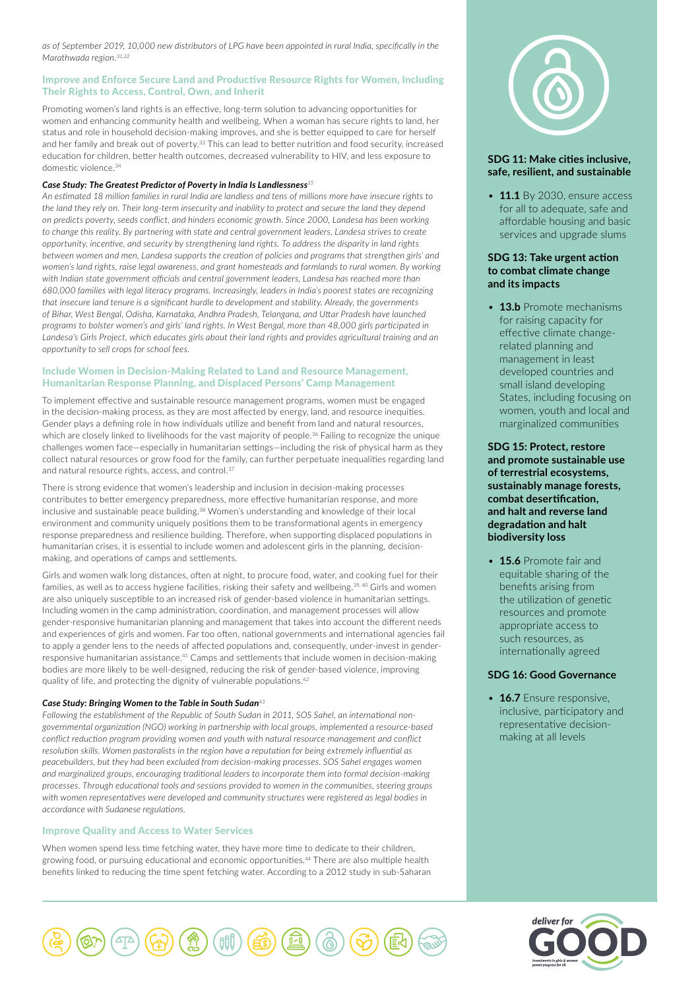*as of September 2019, 10,000 new distributors of LPG have been appointed in rural India, specifically in the Marathwada region.31,32*

### Improve and Enforce Secure Land and Productive Resource Rights for Women, Including Their Rights to Access, Control, Own, and Inherit

Promoting women's land rights is an effective, long-term solution to advancing opportunities for women and enhancing community health and wellbeing. When a woman has secure rights to land, her status and role in household decision-making improves, and she is better equipped to care for herself and her family and break out of poverty.<sup>33</sup> This can lead to better nutrition and food security, increased education for children, better health outcomes, decreased vulnerability to HIV, and less exposure to domestic violence.<sup>34</sup>

#### *Case Study: The Greatest Predictor of Poverty in India Is Landlessness<sup>35</sup>*

*An estimated 18 million families in rural India are landless and tens of millions more have insecure rights to the land they rely on. Their long-term insecurity and inability to protect and secure the land they depend on predicts poverty, seeds conflict, and hinders economic growth. Since 2000, Landesa has been working to change this reality. By partnering with state and central government leaders, Landesa strives to create opportunity, incentive, and security by strengthening land rights. To address the disparity in land rights between women and men, Landesa supports the creation of policies and programs that strengthen girls' and women's land rights, raise legal awareness, and grant homesteads and farmlands to rural women. By working with Indian state government officials and central government leaders, Landesa has reached more than 680,000 families with legal literacy programs. Increasingly, leaders in India's poorest states are recognizing that insecure land tenure is a significant hurdle to development and stability. Already, the governments of Bihar, West Bengal, Odisha, Karnataka, Andhra Pradesh, Telangana, and Uttar Pradesh have launched programs to bolster women's and girls' land rights. In West Bengal, more than 48,000 girls participated in*  Landesa's Girls Project, which educates girls about their land rights and provides agricultural training and an *opportunity to sell crops for school fees.*

## Include Women in Decision-Making Related to Land and Resource Management, Humanitarian Response Planning, and Displaced Persons' Camp Management

To implement effective and sustainable resource management programs, women must be engaged in the decision-making process, as they are most affected by energy, land, and resource inequities. Gender plays a defining role in how individuals utilize and benefit from land and natural resources, which are closely linked to livelihoods for the vast majority of people.<sup>36</sup> Failing to recognize the unique challenges women face—especially in humanitarian settings—including the risk of physical harm as they collect natural resources or grow food for the family, can further perpetuate inequalities regarding land and natural resource rights, access, and control.<sup>37</sup>

There is strong evidence that women's leadership and inclusion in decision-making processes contributes to better emergency preparedness, more effective humanitarian response, and more inclusive and sustainable peace building.38 Women's understanding and knowledge of their local environment and community uniquely positions them to be transformational agents in emergency response preparedness and resilience building. Therefore, when supporting displaced populations in humanitarian crises, it is essential to include women and adolescent girls in the planning, decisionmaking, and operations of camps and settlements.

Girls and women walk long distances, often at night, to procure food, water, and cooking fuel for their families, as well as to access hygiene facilities, risking their safety and wellbeing.39*,* 40 Girls and women are also uniquely susceptible to an increased risk of gender-based violence in humanitarian settings. Including women in the camp administration, coordination, and management processes will allow gender-responsive humanitarian planning and management that takes into account the different needs and experiences of girls and women. Far too often, national governments and international agencies fail to apply a gender lens to the needs of affected populations and, consequently, under-invest in genderresponsive humanitarian assistance. $^{41}$  Camps and settlements that include women in decision-making bodies are more likely to be well-designed, reducing the risk of gender-based violence, improving quality of life, and protecting the dignity of vulnerable populations.<sup>42</sup>

#### *Case Study: Bringing Women to the Table in South Sudan<sup>43</sup>*

*Following the establishment of the Republic of South Sudan in 2011, SOS Sahel, an international nongovernmental organization (NGO) working in partnership with local groups, implemented a resource-based conflict reduction program providing women and youth with natural resource management and conflict resolution skills. Women pastoralists in the region have a reputation for being extremely influential as peacebuilders, but they had been excluded from decision-making processes. SOS Sahel engages women and marginalized groups, encouraging traditional leaders to incorporate them into formal decision-making processes. Through educational tools and sessions provided to women in the communities, steering groups with women representatives were developed and community structures were registered as legal bodies in accordance with Sudanese regulations.*

#### Improve Quality and Access to Water Services

When women spend less time fetching water, they have more time to dedicate to their children, growing food, or pursuing educational and economic opportunities.44 There are also multiple health benefits linked to reducing the time spent fetching water. According to a 2012 study in sub-Saharan



# **SDG 11: Make cities inclusive, safe, resilient, and sustainable**

• **11.1** By 2030, ensure access for all to adequate, safe and affordable housing and basic services and upgrade slums

## **SDG 13: Take urgent action to combat climate change and its impacts**

• **13.b** Promote mechanisms for raising capacity for effective climate changerelated planning and management in least developed countries and small island developing States, including focusing on women, youth and local and marginalized communities

**SDG 15: Protect, restore and promote sustainable use of terrestrial ecosystems, sustainably manage forests, combat desertification, and halt and reverse land degradation and halt biodiversity loss**

• **15.6** Promote fair and equitable sharing of the benefits arising from the utilization of genetic resources and promote appropriate access to such resources, as internationally agreed

#### **SDG 16: Good Governance**

• **16.7** Ensure responsive, inclusive, participatory and representative decisionmaking at all levels



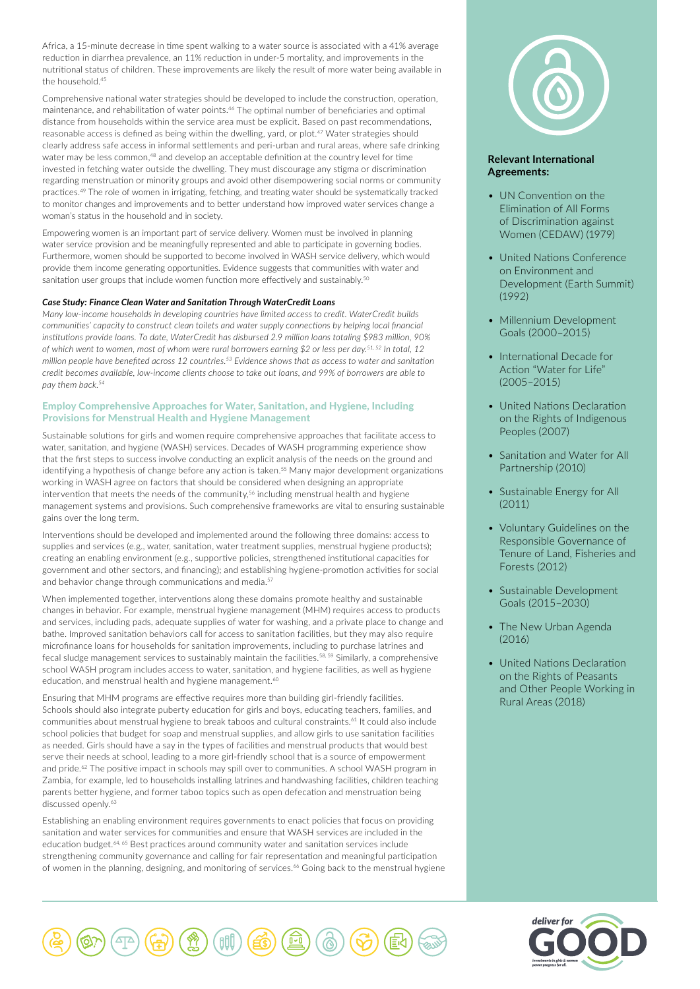Africa, a 15-minute decrease in time spent walking to a water source is associated with a 41% average reduction in diarrhea prevalence, an 11% reduction in under-5 mortality, and improvements in the nutritional status of children. These improvements are likely the result of more water being available in the household.45

Comprehensive national water strategies should be developed to include the construction, operation, maintenance, and rehabilitation of water points.46 The optimal number of beneficiaries and optimal distance from households within the service area must be explicit. Based on past recommendations, reasonable access is defined as being within the dwelling, yard, or plot.<sup>47</sup> Water strategies should clearly address safe access in informal settlements and peri-urban and rural areas, where safe drinking water may be less common,<sup>48</sup> and develop an acceptable definition at the country level for time invested in fetching water outside the dwelling. They must discourage any stigma or discrimination regarding menstruation or minority groups and avoid other disempowering social norms or community practices.49 The role of women in irrigating, fetching, and treating water should be systematically tracked to monitor changes and improvements and to better understand how improved water services change a woman's status in the household and in society.

Empowering women is an important part of service delivery. Women must be involved in planning water service provision and be meaningfully represented and able to participate in governing bodies. Furthermore, women should be supported to become involved in WASH service delivery, which would provide them income generating opportunities. Evidence suggests that communities with water and sanitation user groups that include women function more effectively and sustainably.<sup>50</sup>

#### *Case Study: Finance Clean Water and Sanitation Through WaterCredit Loans*

*Many low-income households in developing countries have limited access to credit. WaterCredit builds communities' capacity to construct clean toilets and water supply connections by helping local financial institutions provide loans. To date, WaterCredit has disbursed 2.9 million loans totaling \$983 million, 90% of which went to women, most of whom were rural borrowers earning \$2 or less per day.51, 52 In total, 12 million people have benefited across 12 countries.53 Evidence shows that as access to water and sanitation credit becomes available, low-income clients choose to take out loans, and 99% of borrowers are able to pay them back.54*

## Employ Comprehensive Approaches for Water, Sanitation, and Hygiene, Including Provisions for Menstrual Health and Hygiene Management

Sustainable solutions for girls and women require comprehensive approaches that facilitate access to water, sanitation, and hygiene (WASH) services. Decades of WASH programming experience show that the first steps to success involve conducting an explicit analysis of the needs on the ground and identifying a hypothesis of change before any action is taken.<sup>55</sup> Many major development organizations working in WASH agree on factors that should be considered when designing an appropriate intervention that meets the needs of the community,<sup>56</sup> including menstrual health and hygiene management systems and provisions. Such comprehensive frameworks are vital to ensuring sustainable gains over the long term.

Interventions should be developed and implemented around the following three domains: access to supplies and services (e.g., water, sanitation, water treatment supplies, menstrual hygiene products); creating an enabling environment (e.g., supportive policies, strengthened institutional capacities for government and other sectors, and financing); and establishing hygiene-promotion activities for social and behavior change through communications and media.<sup>57</sup>

When implemented together, interventions along these domains promote healthy and sustainable changes in behavior. For example, menstrual hygiene management (MHM) requires access to products and services, including pads, adequate supplies of water for washing, and a private place to change and bathe. Improved sanitation behaviors call for access to sanitation facilities, but they may also require microfinance loans for households for sanitation improvements, including to purchase latrines and fecal sludge management services to sustainably maintain the facilities.<sup>58, 59</sup> Similarly, a comprehensive school WASH program includes access to water, sanitation, and hygiene facilities, as well as hygiene education, and menstrual health and hygiene management.<sup>60</sup>

Ensuring that MHM programs are effective requires more than building girl-friendly facilities. Schools should also integrate puberty education for girls and boys, educating teachers, families, and communities about menstrual hygiene to break taboos and cultural constraints.61 It could also include school policies that budget for soap and menstrual supplies, and allow girls to use sanitation facilities as needed. Girls should have a say in the types of facilities and menstrual products that would best serve their needs at school, leading to a more girl-friendly school that is a source of empowerment and pride.<sup>62</sup> The positive impact in schools may spill over to communities. A school WASH program in Zambia, for example, led to households installing latrines and handwashing facilities, children teaching parents better hygiene, and former taboo topics such as open defecation and menstruation being discussed openly.<sup>63</sup>

Establishing an enabling environment requires governments to enact policies that focus on providing sanitation and water services for communities and ensure that WASH services are included in the education budget.<sup>64, 65</sup> Best practices around community water and sanitation services include strengthening community governance and calling for fair representation and meaningful participation of women in the planning, designing, and monitoring of services.<sup>66</sup> Going back to the menstrual hygiene



# **Relevant International Agreements:**

- UN Convention on the Elimination of All Forms of Discrimination against Women (CEDAW) (1979)
- United Nations Conference on Environment and Development (Earth Summit) (1992)
- Millennium Development Goals (2000–2015)
- International Decade for Action "Water for Life" (2005–2015)
- United Nations Declaration on the Rights of Indigenous Peoples (2007)
- Sanitation and Water for All Partnership (2010)
- Sustainable Energy for All (2011)
- Voluntary Guidelines on the Responsible Governance of Tenure of Land, Fisheries and Forests (2012)
- Sustainable Development Goals (2015–2030)
- The New Urban Agenda (2016)
- United Nations Declaration on the Rights of Peasants and Other People Working in Rural Areas (2018)



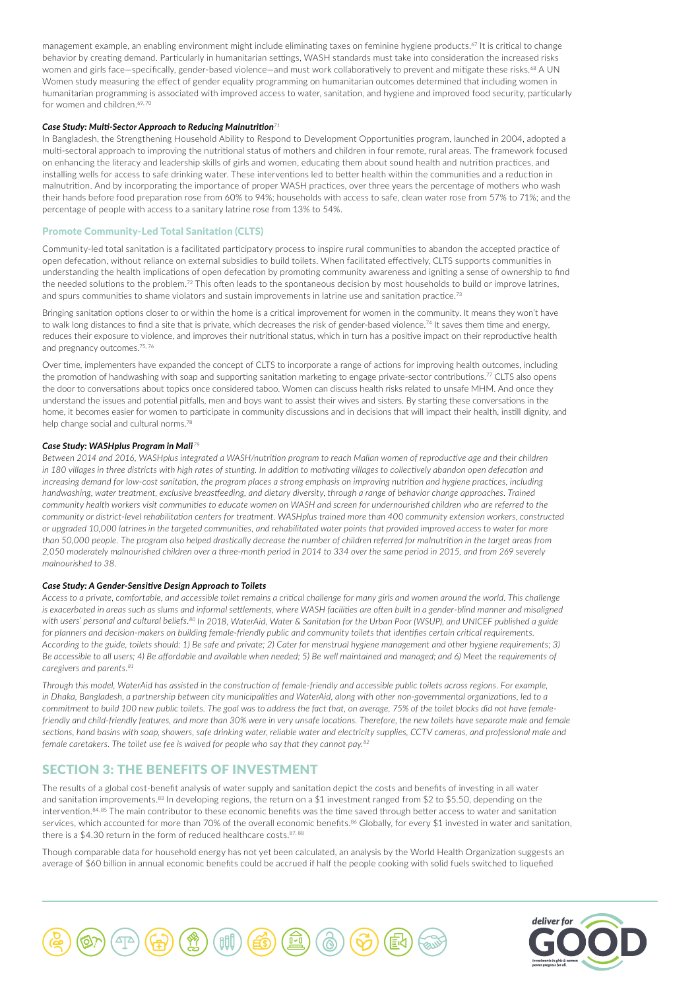management example, an enabling environment might include eliminating taxes on feminine hygiene products.<sup>67</sup> It is critical to change behavior by creating demand. Particularly in humanitarian settings, WASH standards must take into consideration the increased risks women and girls face-specifically, gender-based violence-and must work collaboratively to prevent and mitigate these risks.<sup>68</sup> A UN Women study measuring the effect of gender equality programming on humanitarian outcomes determined that including women in humanitarian programming is associated with improved access to water, sanitation, and hygiene and improved food security, particularly for women and children.<sup>69, 70</sup>

#### *Case Study: Multi-Sector Approach to Reducing Malnutrition<sup>71</sup>*

In Bangladesh, the Strengthening Household Ability to Respond to Development Opportunities program, launched in 2004, adopted a multi-sectoral approach to improving the nutritional status of mothers and children in four remote, rural areas. The framework focused on enhancing the literacy and leadership skills of girls and women, educating them about sound health and nutrition practices, and installing wells for access to safe drinking water. These interventions led to better health within the communities and a reduction in malnutrition. And by incorporating the importance of proper WASH practices, over three years the percentage of mothers who wash their hands before food preparation rose from 60% to 94%; households with access to safe, clean water rose from 57% to 71%; and the percentage of people with access to a sanitary latrine rose from 13% to 54%.

#### Promote Community-Led Total Sanitation (CLTS)

Community-led total sanitation is a facilitated participatory process to inspire rural communities to abandon the accepted practice of open defecation, without reliance on external subsidies to build toilets. When facilitated effectively, CLTS supports communities in understanding the health implications of open defecation by promoting community awareness and igniting a sense of ownership to find the needed solutions to the problem.72 This often leads to the spontaneous decision by most households to build or improve latrines, and spurs communities to shame violators and sustain improvements in latrine use and sanitation practice.<sup>73</sup>

Bringing sanitation options closer to or within the home is a critical improvement for women in the community. It means they won't have to walk long distances to find a site that is private, which decreases the risk of gender-based violence.74 It saves them time and energy, reduces their exposure to violence, and improves their nutritional status, which in turn has a positive impact on their reproductive health and pregnancy outcomes.75, 76

Over time, implementers have expanded the concept of CLTS to incorporate a range of actions for improving health outcomes, including the promotion of handwashing with soap and supporting sanitation marketing to engage private-sector contributions.<sup>77</sup> CLTS also opens the door to conversations about topics once considered taboo. Women can discuss health risks related to unsafe MHM. And once they understand the issues and potential pitfalls, men and boys want to assist their wives and sisters. By starting these conversations in the home, it becomes easier for women to participate in community discussions and in decisions that will impact their health, instill dignity, and help change social and cultural norms.<sup>78</sup>

#### *Case Study: WASHplus Program in Mali <sup>79</sup>*

*Between 2014 and 2016, WASHplus integrated a WASH/nutrition program to reach Malian women of reproductive age and their children in 180 villages in three districts with high rates of stunting. In addition to motivating villages to collectively abandon open defecation and increasing demand for low-cost sanitation, the program places a strong emphasis on improving nutrition and hygiene practices, including handwashing, water treatment, exclusive breastfeeding, and dietary diversity, through a range of behavior change approaches. Trained community health workers visit communities to educate women on WASH and screen for undernourished children who are referred to the community or district-level rehabilitation centers for treatment. WASHplus trained more than 400 community extension workers, constructed or upgraded 10,000 latrines in the targeted communities, and rehabilitated water points that provided improved access to water for more than 50,000 people. The program also helped drastically decrease the number of children referred for malnutrition in the target areas from 2,050 moderately malnourished children over a three-month period in 2014 to 334 over the same period in 2015, and from 269 severely malnourished to 38.* 

#### *Case Study: A Gender-Sensitive Design Approach to Toilets*

*Access to a private, comfortable, and accessible toilet remains a critical challenge for many girls and women around the world. This challenge*  is exacerbated in areas such as slums and informal settlements, where WASH facilities are often built in a gender-blind manner and misaligned *with users' personal and cultural beliefs.80 In 2018, WaterAid, Water & Sanitation for the Urban Poor (WSUP), and UNICEF published a guide for planners and decision-makers on building female-friendly public and community toilets that identifies certain critical requirements. According to the guide, toilets should: 1) Be safe and private; 2) Cater for menstrual hygiene management and other hygiene requirements; 3) Be accessible to all users; 4) Be affordable and available when needed; 5) Be well maintained and managed; and 6) Meet the requirements of caregivers and parents.81*

*Through this model, WaterAid has assisted in the construction of female-friendly and accessible public toilets across regions. For example, in Dhaka, Bangladesh, a partnership between city municipalities and WaterAid, along with other non-governmental organizations, led to a commitment to build 100 new public toilets. The goal was to address the fact that, on average, 75% of the toilet blocks did not have femalefriendly and child-friendly features, and more than 30% were in very unsafe locations. Therefore, the new toilets have separate male and female sections, hand basins with soap, showers, safe drinking water, reliable water and electricity supplies, CCTV cameras, and professional male and female caretakers. The toilet use fee is waived for people who say that they cannot pay.82*

# SECTION 3: THE BENEFITS OF INVESTMENT

The results of a global cost-benefit analysis of water supply and sanitation depict the costs and benefits of investing in all water and sanitation improvements.<sup>83</sup> In developing regions, the return on a \$1 investment ranged from \$2 to \$5.50, depending on the intervention.<sup>84, 85</sup> The main contributor to these economic benefits was the time saved through better access to water and sanitation services, which accounted for more than 70% of the overall economic benefits.<sup>86</sup> Globally, for every \$1 invested in water and sanitation, there is a \$4.30 return in the form of reduced healthcare costs. $87,88$ 

Though comparable data for household energy has not yet been calculated, an analysis by the World Health Organization suggests an average of \$60 billion in annual economic benefits could be accrued if half the people cooking with solid fuels switched to liquefied



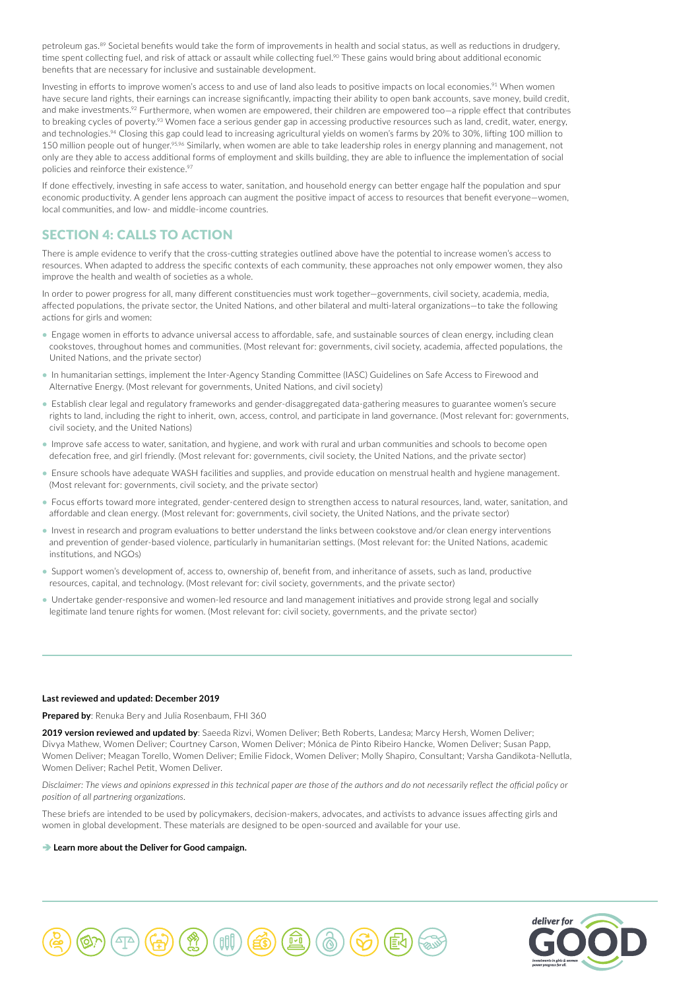petroleum gas.<sup>89</sup> Societal benefits would take the form of improvements in health and social status, as well as reductions in drudgery, time spent collecting fuel, and risk of attack or assault while collecting fuel.<sup>90</sup> These gains would bring about additional economic benefits that are necessary for inclusive and sustainable development.

Investing in efforts to improve women's access to and use of land also leads to positive impacts on local economies.<sup>91</sup> When women have secure land rights, their earnings can increase significantly, impacting their ability to open bank accounts, save money, build credit, and make investments.<sup>92</sup> Furthermore, when women are empowered, their children are empowered too–a ripple effect that contributes to breaking cycles of poverty.<sup>93</sup> Women face a serious gender gap in accessing productive resources such as land, credit, water, energy, and technologies.<sup>94</sup> Closing this gap could lead to increasing agricultural yields on women's farms by 20% to 30%, lifting 100 million to 150 million people out of hunger.<sup>95,96</sup> Similarly, when women are able to take leadership roles in energy planning and management, not only are they able to access additional forms of employment and skills building, they are able to influence the implementation of social policies and reinforce their existence.<sup>97</sup>

If done effectively, investing in safe access to water, sanitation, and household energy can better engage half the population and spur economic productivity. A gender lens approach can augment the positive impact of access to resources that benefit everyone—women, local communities, and low- and middle-income countries.

# SECTION 4: CALLS TO ACTION

There is ample evidence to verify that the cross-cutting strategies outlined above have the potential to increase women's access to resources. When adapted to address the specific contexts of each community, these approaches not only empower women, they also improve the health and wealth of societies as a whole.

In order to power progress for all, many different constituencies must work together—governments, civil society, academia, media, affected populations, the private sector, the United Nations, and other bilateral and multi-lateral organizations—to take the following actions for girls and women:

- Engage women in efforts to advance universal access to affordable, safe, and sustainable sources of clean energy, including clean cookstoves, throughout homes and communities. (Most relevant for: governments, civil society, academia, affected populations, the United Nations, and the private sector)
- In humanitarian settings, implement the Inter-Agency Standing Committee (IASC) Guidelines on Safe Access to Firewood and Alternative Energy. (Most relevant for governments, United Nations, and civil society)
- Establish clear legal and regulatory frameworks and gender-disaggregated data-gathering measures to guarantee women's secure rights to land, including the right to inherit, own, access, control, and participate in land governance. (Most relevant for: governments, civil society, and the United Nations)
- Improve safe access to water, sanitation, and hygiene, and work with rural and urban communities and schools to become open defecation free, and girl friendly. (Most relevant for: governments, civil society, the United Nations, and the private sector)
- Ensure schools have adequate WASH facilities and supplies, and provide education on menstrual health and hygiene management. (Most relevant for: governments, civil society, and the private sector)
- Focus efforts toward more integrated, gender-centered design to strengthen access to natural resources, land, water, sanitation, and affordable and clean energy. (Most relevant for: governments, civil society, the United Nations, and the private sector)
- Invest in research and program evaluations to better understand the links between cookstove and/or clean energy interventions and prevention of gender-based violence, particularly in humanitarian settings. (Most relevant for: the United Nations, academic institutions, and NGOs)
- Support women's development of, access to, ownership of, benefit from, and inheritance of assets, such as land, productive resources, capital, and technology. (Most relevant for: civil society, governments, and the private sector)
- Undertake gender-responsive and women-led resource and land management initiatives and provide strong legal and socially legitimate land tenure rights for women. (Most relevant for: civil society, governments, and the private sector)

### **Last reviewed and updated: December 2019**

**Prepared by**: Renuka Bery and Julia Rosenbaum, FHI 360

**2019 version reviewed and updated by**: Saeeda Rizvi, Women Deliver; Beth Roberts, Landesa; Marcy Hersh, Women Deliver; Divya Mathew, Women Deliver; Courtney Carson, Women Deliver; Mónica de Pinto Ribeiro Hancke, Women Deliver; Susan Papp, Women Deliver; Meagan Torello, Women Deliver; Emilie Fidock, Women Deliver; Molly Shapiro, Consultant; Varsha Gandikota-Nellutla, Women Deliver: Rachel Petit, Women Deliver.

*Disclaimer: The views and opinions expressed in this technical paper are those of the authors and do not necessarily reflect the official policy or position of all partnering organizations.*

These briefs are intended to be used by policymakers, decision-makers, advocates, and activists to advance issues affecting girls and women in global development. These materials are designed to be open-sourced and available for your use.

#### $→$  **[Learn more about the Deliver for Good campaign.](http://www.deliverforgood.org/)**



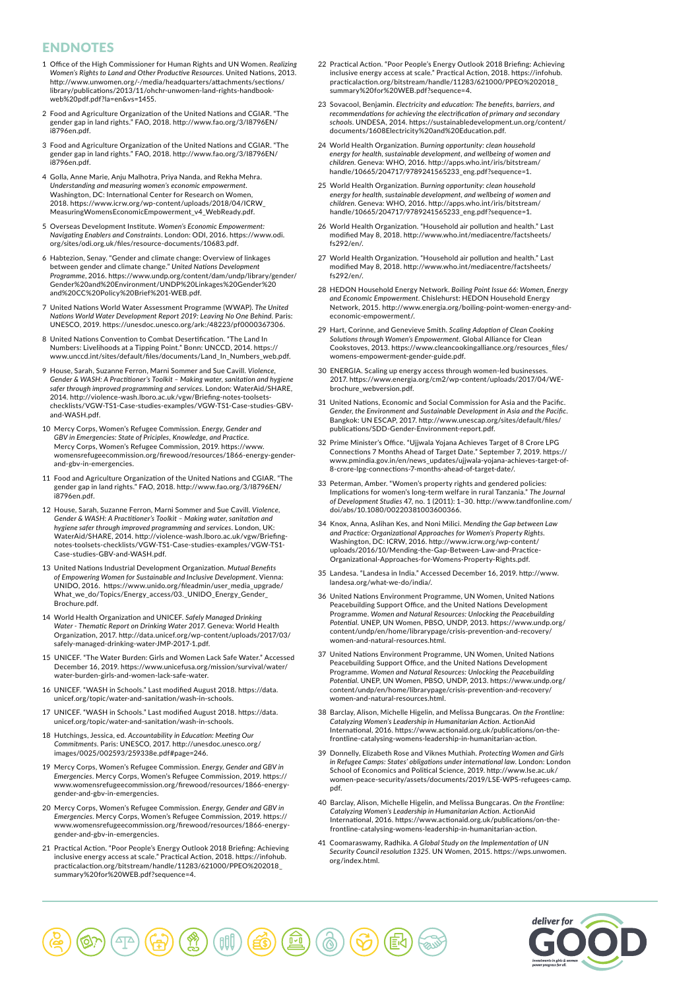# ENDNOTES

- 1 Office of the High Commissioner for Human Rights and UN Women. *Realizing Women's Rights to Land and Other Productive Resources*. United Nations, 2013. http://www.unwomen.org/-/media/headquarters/attachments/sections/ library/publications/2013/11/ohchr-unwomen-land-rights-handbookweb%20pdf.pdf?la=en&vs=1455.
- 2 Food and Agriculture Organization of the United Nations and CGIAR. "The gender gap in land rights." FAO, 2018. http://www.fao.org/3/I8796EN/ i8796en.pdf.
- 3 Food and Agriculture Organization of the United Nations and CGIAR. "The gender gap in land rights." FAO, 2018. http://www.fao.org/3/I8796EN/ i8796en.pdf.
- 4 Golla, Anne Marie, Anju Malhotra, Priya Nanda, and Rekha Mehra. *Understanding and measuring women's economic empowerment*. Washington, DC: International Center for Research on Women, 2018. https://www.icrw.org/wp-content/uploads/2018/04/ICRW\_ MeasuringWomensEconomicEmpowerment\_v4\_WebReady.pdf.
- 5 Overseas Development Institute. *Women's Economic Empowerment: Navigating Enablers and Constraints*. London: ODI, 2016. https://www.odi. org/sites/odi.org.uk/files/resource-documents/10683.pdf.
- 6 Habtezion, Senay. "Gender and climate change: Overview of linkages between gender and climate change." *United Nations Development Programme*, 2016. https://www.undp.org/content/dam/undp/library/gender/ Gender%20and%20Environment/UNDP%20Linkages%20Gender%20 and%20CC%20Policy%20Brief%201-WEB.pdf.
- 7 United Nations World Water Assessment Programme (WWAP). *The United Nations World Water Development Report 2019: Leaving No One Behind*. Paris: UNESCO, 2019. https://unesdoc.unesco.org/ark:/48223/pf0000367306.
- 8 United Nations Convention to Combat Desertification. "The Land In Numbers: Livelihoods at a Tipping Point." Bonn: UNCCD, 2014. https:// www.unccd.int/sites/default/files/documents/Land\_In\_Numbers\_web.pdf.
- 9 House, Sarah, Suzanne Ferron, Marni Sommer and Sue Cavill. *Violence, Gender & WASH: A Practitioner's Toolkit – Making water, sanitation and hygiene safer through improved programming and services*. London: WaterAid/SHARE, 2014. http://violence-wash.lboro.ac.uk/vgw/Briefing-notes-toolsets-checklists/VGW-TS1-Case-studies-examples/VGW-TS1-Case-studies-GBVand-WASH.pdf.
- 10 Mercy Corps, Women's Refugee Commission. *Energy, Gender and GBV in Emergencies: State of Priciples, Knowledge, and Practice*. Mercy Corps, Women's Refugee Commission, 2019. https://www. womensrefugeecommission.org/firewood/resources/1866-energy-genderand-gbv-in-emergencies.
- 11 Food and Agriculture Organization of the United Nations and CGIAR. "The gender gap in land rights." FAO, 2018. http://www.fao.org/3/I8796EN/ i8796en.pdf.
- 12 House, Sarah, Suzanne Ferron, Marni Sommer and Sue Cavill. *Violence, Gender & WASH: A Practitioner's Toolkit – Making water, sanitation and hygiene safer through improved programming and services*. London, UK: WaterAid/SHARE, 2014. http://violence-wash.lboro.ac.uk/vgw/Briefingnotes-toolsets-checklists/VGW-TS1-Case-studies-examples/VGW-TS1- Case-studies-GBV-and-WASH.pdf.
- 13 United Nations Industrial Development Organization. *Mutual Benefits of Empowering Women for Sustainable and Inclusive Development*. Vienna: UNIDO, 2016. https://www.unido.org/fileadmin/user\_media\_upgrade/ What\_we\_do/Topics/Energy\_access/03.\_UNIDO\_Energy\_Gender\_ Brochure.pdf.
- 14 World Health Organization and UNICEF. *Safely Managed Drinking Water - Thematic Report on Drinking Water 2017*. Geneva: World Health Organization, 2017. http://data.unicef.org/wp-content/uploads/2017/03/ safely-managed-drinking-water-JMP-2017-1.pdf.
- 15 UNICEF. "The Water Burden: Girls and Women Lack Safe Water." Accessed December 16, 2019. https://www.unicefusa.org/mission/survival/water/ water-burden-girls-and-women-lack-safe-water.
- 16 UNICEF. "WASH in Schools." Last modified August 2018. https://data. unicef.org/topic/water-and-sanitation/wash-in-schools.
- 17 UNICEF. "WASH in Schools." Last modified August 2018. https://data. unicef.org/topic/water-and-sanitation/wash-in-schools.
- 18 Hutchings, Jessica, ed. *Accountability in Education: Meeting Our Commitments*. Paris: UNESCO, 2017. http://unesdoc.unesco.org/ images/0025/002593/259338e.pdf#page=246.
- 19 Mercy Corps, Women's Refugee Commission. *Energy, Gender and GBV in Emergencies*. Mercy Corps, Women's Refugee Commission, 2019. https:// www.womensrefugeecommission.org/firewood/resources/1866-energygender-and-gbv-in-emergencies.
- 20 Mercy Corps, Women's Refugee Commission. *Energy, Gender and GBV in Emergencies*. Mercy Corps, Women's Refugee Commission, 2019. https:// www.womensrefugeecommission.org/firewood/resources/1866-energygender-and-gbv-in-emergencies.
- 21 Practical Action. "Poor People's Energy Outlook 2018 Briefing: Achieving inclusive energy access at scale." Practical Action, 2018. https://infohub. practicalaction.org/bitstream/handle/11283/621000/PPEO%202018\_ summary%20for%20WEB.pdf?sequence=4.
- 22 Practical Action. "Poor People's Energy Outlook 2018 Briefing: Achieving inclusive energy access at scale." Practical Action, 2018. https://infohub. practicalaction.org/bitstream/handle/11283/621000/PPEO%202018\_ summary%20for%20WEB.pdf?sequence=4.
- 23 Sovacool, Benjamin. *Electricity and education: The benefits, barriers, and recommendations for achieving the electrification of primary and secondary schools*. UNDESA, 2014. https://sustainabledevelopment.un.org/content/ ents/1608Electricity%20and%20Education.pdf.
- 24 World Health Organization. *Burning opportunity: clean household energy for health, sustainable development, and wellbeing of women and children*. Geneva: WHO, 2016. http://apps.who.int/iris/bitstream/ handle/10665/204717/9789241565233\_eng.pdf?sequence=1.
- 25 World Health Organization. *Burning opportunity: clean household energy for health, sustainable development, and wellbeing of women and children*. Geneva: WHO, 2016. http://apps.who.int/iris/bitstream/ handle/10665/204717/9789241565233\_eng.pdf?sequence=1.
- 26 World Health Organization. "Household air pollution and health." Last modified May 8, 2018. http://www.who.int/mediacentre/factsheets/ fs292/en/.
- 27 World Health Organization. "Household air pollution and health." Last modified May 8, 2018. http://www.who.int/mediacentre/factsheets/ fs292/en/.
- 28 HEDON Household Energy Network. *Boiling Point Issue 66: Women, Energy and Economic Empowerment*. Chislehurst: HEDON Household Energy Network, 2015. http://www.energia.org/boiling-point-women-energy-andeconomic-empowerment/.
- 29 Hart, Corinne, and Genevieve Smith. *Scaling Adoption of Clean Cooking Solutions through Women's Empowerment*. Global Alliance for Clean Cookstoves, 2013. https://www.cleancookingalliance.org/resources\_files/ womens-empowerment-gender-guide.pdf.
- 30 ENERGIA. Scaling up energy access through women-led businesses. 2017. https://www.energia.org/cm2/wp-content/uploads/2017/04/WEbrochure\_webversion.pdf.
- 31 United Nations, Economic and Social Commission for Asia and the Pacific. *Gender, the Environment and Sustainable Development in Asia and the Pacific*. Bangkok: UN ESCAP, 2017. http://www.unescap.org/sites/default/files/ publications/SDD-Gender-Environment-report.pdf.
- 32 Prime Minister's Office. "Ujjwala Yojana Achieves Target of 8 Crore LPG Connections 7 Months Ahead of Target Date." September 7, 2019. https:// www.pmindia.gov.in/en/news\_updates/ujjwala-yojana-achieves-target-of-8-crore-lpg-connections-7-months-ahead-of-target-date/.
- 33 Peterman, Amber. "Women's property rights and gendered policies: Implications for women's long-term welfare in rural Tanzania." *The Journal of Development Studies* 47, no. 1 (2011): 1–30. http://www.tandfonline.com/ doi/abs/10.1080/00220381003600366.
- 34 Knox, Anna, Aslihan Kes, and Noni Milici. *Mending the Gap between Law and Practice: Organizational Approaches for Women's Property Rights*. Washington, DC: ICRW, 2016. http://www.icrw.org/wp-content/ uploads/2016/10/Mending-the-Gap-Between-Law-and-Practice-Organizational-Approaches-for-Womens-Property-Rights.pdf.
- 35 Landesa. "Landesa in India." Accessed December 16, 2019. http://www. landesa.org/what-we-do/india/.
- 36 United Nations Environment Programme, UN Women, United Nations Peacebuilding Support Office, and the United Nations Development Programme. *Women and Natural Resources: Unlocking the Peacebuilding Potential*. UNEP, UN Women, PBSO, UNDP, 2013. https://www.undp.org/ content/undp/en/home/librarypage/crisis-prevention-and-recovery/ women-and-natural-resources.html.
- 37 United Nations Environment Programme, UN Women, United Nations Peacebuilding Support Office, and the United Nations Development Programme. *Women and Natural Resources: Unlocking the Peacebuilding Potential*. UNEP, UN Women, PBSO, UNDP, 2013. https://www.undp.org/ content/undp/en/home/librarypage/crisis-prevention-and-recovery/ women-and-natural-resources.html.
- 38 Barclay, Alison, Michelle Higelin, and Melissa Bungcaras. *On the Frontline: Catalyzing Women's Leadership in Humanitarian Action*. ActionAid International, 2016. https://www.actionaid.org.uk/publications/on-thefrontline-catalysing-womens-leadership-in-humanitarian-action.
- 39 Donnelly, Elizabeth Rose and Viknes Muthiah. *Protecting Women and Girls in Refugee Camps: States' obligations under international law*. London: London School of Economics and Political Science, 2019. http://www.lse.ac.uk/ women-peace-security/assets/documents/2019/LSE-WPS-refugees-camp. pdf.
- 40 Barclay, Alison, Michelle Higelin, and Melissa Bungcaras. *On the Frontline: Catalyzing Women's Leadership in Humanitarian Action*. ActionAid International, 2016. https://www.actionaid.org.uk/publications/on-thefrontline-catalysing-womens-leadership-in-humanitarian-action.
- 41 Coomaraswamy, Radhika. *A Global Study on the Implementation of UN Security Council resolution 1325*. UN Women, 2015. https://wps.unwomen. org/index.html.

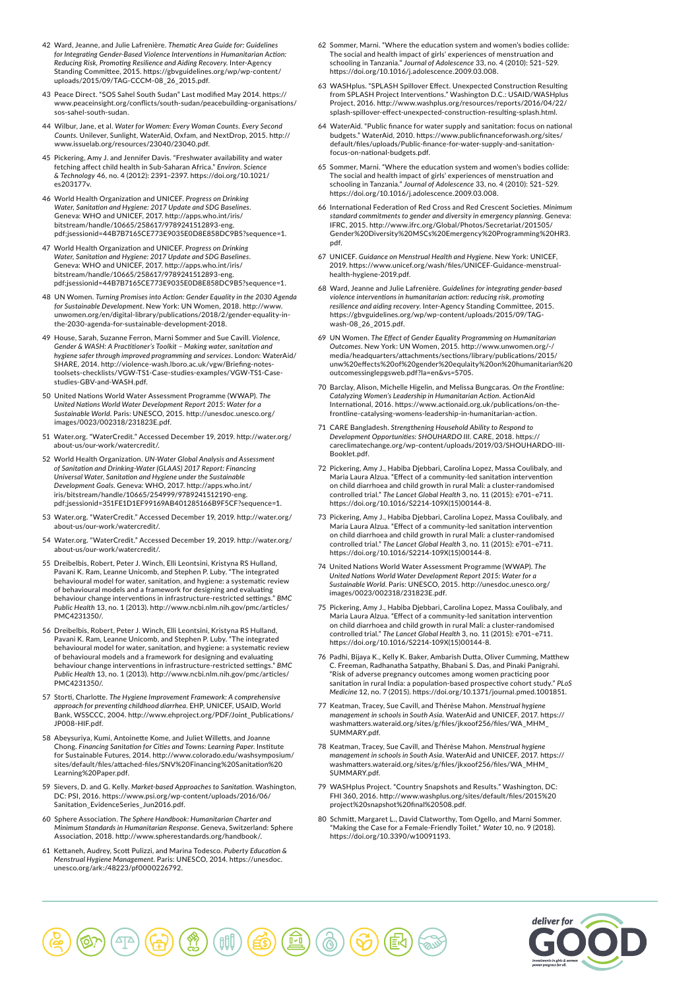- 42 Ward, Jeanne, and Julie Lafrenière. *Thematic Area Guide for: Guidelines for Integrating Gender-Based Violence Interventions in Humanitarian Action: Reducing Risk, Promoting Resilience and Aiding Recovery*. Inter-Agency Standing Committee, 2015. https://gbvguidelines.org/wp/wp-content/ uploads/2015/09/TAG-CCCM-08\_26\_2015.pdf.
- 43 Peace Direct. "SOS Sahel South Sudan" Last modified May 2014. https:// www.neaceinsight.org/conflicts/south-sudan/peacebuilding-organisations/ sos-sahel-south-sudan.
- 44 Wilbur, Jane, et al. *Water for Women: Every Woman Counts. Every Second Counts*. Unilever, Sunlight, WaterAid, Oxfam, and NextDrop, 2015. http:// www.issuelab.org/resources/23040/23040.pdf.
- 45 Pickering, Amy J. and Jennifer Davis. "Freshwater availability and water fetching affect child health in Sub-Saharan Africa." *Environ. Scien & Technology* 46, no. 4 (2012): 2391–2397. https://doi.org/10.1021/ es203177v.
- 46 World Health Organization and UNICEF. *Progress on Drinking Water, Sanitation and Hygiene: 2017 Update and SDG Baselines*. Geneva: WHO and UNICEF, 2017. http://apps.who.int/iris/ bitstream/handle/10665/258617/9789241512893-eng. pdf;jsessionid=44B7B7165CE773E9035E0D8E858DC9B5?sequence=1.
- 47 World Health Organization and UNICEF. *Progress on Drinking Water, Sanitation and Hygiene: 2017 Update and SDG Baselines*. Geneva: WHO and UNICEF, 2017. http://apps.who.int/iris/ bitstream/handle/10665/258617/9789241512893-eng. pdf;jsessionid=44B7B7165CE773E9035E0D8E858DC9B5?sequence=1.
- 48 UN Women. *Turning Promises into Action: Gender Equality in the 2030 Agenda for Sustainable Development*. New York: UN Women, 2018. http://www. unwomen.org/en/digital-library/publications/2018/2/gender-equality-inthe-2030-agenda-for-sustainable-development-2018.
- 49 House, Sarah, Suzanne Ferron, Marni Sommer and Sue Cavill. *Violence, Gender & WASH: A Practitioner's Toolkit – Making water, sanitation and hygiene safer through improved programming and services*. London: WaterAid/ SHARE, 2014. http://violence-wash.lboro.ac.uk/vgw/Briefing-notestoolsets-checklists/VGW-TS1-Case-studies-examples/VGW-TS1-Casestudies-GBV-and-WASH.pdf.
- 50 United Nations World Water Assessment Programme (WWAP). *The United Nations World Water Development Report 2015: Water for a Sustainable World*. Paris: UNESCO, 2015. http://unesdoc.unesco.org/ images/0023/002318/231823E.pdf.
- 51 Water.org. "WaterCredit." Accessed December 19, 2019. http://water.org/ about-us/our-work/watercredit/.
- 52 World Health Organization. *UN-Water Global Analysis and Assessment of Sanitation and Drinking-Water (GLAAS) 2017 Report: Financing Universal Water, Sanitation and Hygiene under the Sustainable Development Goals*. Geneva: WHO, 2017. http://apps.who.int/ iris/bitstream/handle/10665/254999/9789241512190-eng. pdf;jsessionid=351FE1D1EF99169AB401285166B9F5CF?sequence=1.
- 53 Water.org. "WaterCredit." Accessed December 19, 2019. http://water.org/ about-us/our-work/watercredit/.
- 54 Water.org. "WaterCredit." Accessed December 19, 2019. http://water.org/ about-us/our-work/watercredit/.
- 55 Dreibelbis, Robert, Peter J. Winch, Elli Leontsini, Kristyna RS Hulland, Pavani K. Ram, Leanne Unicomb, and Stephen P. Luby. "The integrated behavioural model for water, sanitation, and hygiene: a systematic review of behavioural models and a framework for designing and evaluating behaviour change interventions in infrastructure-restricted settings." *BMC Public Health* 13, no. 1 (2013). http://www.ncbi.nlm.nih.gov/pmc/articles/ PMC4231350/.
- 56 Dreibelbis, Robert, Peter J. Winch, Elli Leontsini, Kristyna RS Hulland, Pavani K. Ram, Leanne Unicomb, and Stephen P. Luby. "The integrated behavioural model for water, sanitation, and hygiene: a systematic review of behavioural models and a framework for designing and evaluating behaviour change interventions in infrastructure-restricted settings." *BMC Public Health* 13, no. 1 (2013). http://www.ncbi.nlm.nih.gov/pmc/articles/ PMC4231350/.
- 57 Storti, Charlotte. *The Hygiene Improvement Framework: A comprehensive approach for preventing childhood diarrhea*. EHP, UNICEF, USAID, World Bank, WSSCCC, 2004. http://www.ehproject.org/PDF/Joint\_Publications/ JP008-HIF.pdf.
- 58 Abeysuriya, Kumi, Antoinette Kome, and Juliet Willetts, and Joanne Chong. *Financing Sanitation for Cities and Towns: Learning Paper*. Institute for Sustainable Futures, 2014. http://www.colorado.edu/washsymposium/ sites/default/files/attached-files/SNV%20Financing%20Sanitation%20 Learning%20Paper.pdf.
- 59 Sievers, D. and G. Kelly. *Market-based Approaches to Sanitation*. Washington, DC: PSI, 2016. https://www.psi.org/wp-content/uploads/2016/06/ Sanitation\_EvidenceSeries\_Jun2016.pdf.
- 60 Sphere Association. *The Sphere Handbook: Humanitarian Charter and Minimum Standards in Humanitarian Response*. Geneva, Switzerland: Sphere Association, 2018. http://www.spherestandards.org/handbook/.
- 61 Kettaneh, Audrey, Scott Pulizzi, and Marina Todesco. *Puberty Education & Menstrual Hygiene Management*. Paris: UNESCO, 2014. https://unesdoc. unesco.org/ark:/48223/pf0000226792.
- 62 Sommer, Marni. "Where the education system and women's bodies collide: The social and health impact of girls' experiences of menstruation and schooling in Tanzania." *Journal of Adolescence* 33, no. 4 (2010): 521–529. https://doi.org/10.1016/j.adolescence.2009.03.008.
- 63 WASHplus. "SPLASH Spillover Effect. Unexpected Construction Resulting from SPLASH Project Interventions." Washington D.C.: USAID/WASHplus Project, 2016. http://www.washplus.org/resources/reports/2016/04/22/ splash-spillover-effect-unexpected-construction-resulting-splash.html.
- 64 WaterAid. "Public finance for water supply and sanitation: focus on national budgets." WaterAid, 2010. https://www.publicfinanceforwash.org/sites/ default/files/uploads/Public-finance-for-water-supply-and-sanitationfocus-on-national-budgets.pdf.
- 65 Sommer, Marni. "Where the education system and women's bodies collide: The social and health impact of girls' experiences of menstruation and schooling in Tanzania." *Journal of Adolescence* 33, no. 4 (2010): 521–529. https://doi.org/10.1016/j.adolescence.2009.03.008.
- 66 International Federation of Red Cross and Red Crescent Societies. *Minimum*  standard commitments to gender and diversity in emergency planning. Geneva:<br>IFRC, 2015. http://www.ifrc.org/Global/Photos/Secretariat/201505/<br>Gender%20Diversity%20MSCs%20Emergency%20Programming%20HR3. pdf.
- 67 UNICEF. *Guidance on Menstrual Health and Hygiene*. New York: UNICEF, 2019. https://www.unicef.org/wash/files/UNICEF-Guidance-menstrualhealth-hygiene-2019.pdf.
- 68 Ward, Jeanne and Julie Lafrenière. *Guidelines for integrating gender-based violence interventions in humanitarian action: reducing risk, promoting resilience and aiding recovery*. Inter-Agency Standing Committee, 2015. https://gbvguidelines.org/wp/wp-content/uploads/2015/09/TAGwash-08\_26\_2015.pdf.
- 69 UN Women. *The Effect of Gender Equality Programming on Humanitarian Outcomes*. New York: UN Women, 2015. http://www.unwomen.org/-/ media/headquarters/attachments/sections/library/publications/2015/ unw%20effects%20of%20gender%20equlaity%20on%20humanitarian%20 outcomessinglepgsweb.pdf?la=en&vs=5705.
- 70 Barclay, Alison, Michelle Higelin, and Melissa Bungcaras. *On the Frontline: Catalyzing Women's Leadership in Humanitarian Action*. ActionAid International, 2016. https://www.actionaid.org.uk/publications/on-thefrontline-catalysing-womens-leadership-in-humanitarian-action.
- 71 CARE Bangladesh. *Strengthening Household Ability to Respond to Development Opportunities: SHOUHARDO III*. CARE, 2018. https:// careclimatechange.org/wp-content/uploads/2019/03/SHOUHARDO-III-Booklet.pdf.
- 72 Pickering, Amy J., Habiba Djebbari, Carolina Lopez, Massa Coulibaly, and Maria Laura Alzua. "Effect of a community-led sanitation intervention on child diarrhoea and child growth in rural Mali: a cluster-randomised controlled trial." *The Lancet Global Health* 3, no. 11 (2015): e701–e711. https://doi.org/10.1016/S2214-109X(15)00144-8.
- 73 Pickering, Amy J., Habiba Djebbari, Carolina Lopez, Massa Coulibaly, and Maria Laura Alzua. "Effect of a community-led sanitation intervention on child diarrhoea and child growth in rural Mali: a cluster-randomised controlled trial." *The Lancet Global Health* 3, no. 11 (2015): e701–e711. https://doi.org/10.1016/S2214-109X(15)00144-8.
- 74 United Nations World Water Assessment Programme (WWAP). *The United Nations World Water Development Report 2015: Water for a Sustainable World*. Paris: UNESCO, 2015. http://unesdoc.unesco.org/ images/0023/002318/231823E.pdf.
- 75 Pickering, Amy J., Habiba Djebbari, Carolina Lopez, Massa Coulibaly, and Maria Laura Alzua. "Effect of a community-led sanitation intervention on child diarrhoea and child growth in rural Mali: a cluster-randomised controlled trial." *The Lancet Global Health* 3, no. 11 (2015): e701–e711. https://doi.org/10.1016/S2214-109X(15)00144-8.
- 76 Padhi, Bijaya K., Kelly K. Baker, Ambarish Dutta, Oliver Cumming, Matthew C. Freeman, Radhanatha Satpathy, Bhabani S. Das, and Pinaki Panigrahi. "Risk of adverse pregnancy outcomes among women practicing poor sanitation in rural India: a population-based prospective cohort study." *PLoS Medicine* 12, no. 7 (2015). https://doi.org/10.1371/journal.pmed.1001851.
- 77 Keatman, Tracey, Sue Cavill, and Thérèse Mahon. *Menstrual hygiene management in schools in South Asia*. WaterAid and UNICEF, 2017. https:// washmatters.wateraid.org/sites/g/files/jkxoof256/files/WA\_MHM\_ SUMMARY.pdf.
- 78 Keatman, Tracey, Sue Cavill, and Thérèse Mahon. *Menstrual hygiene management in schools in South Asia*. WaterAid and UNICEF, 2017. https:// washmatters.wateraid.org/sites/g/files/jkxoof256/files/WA\_MHM\_ SUMMARY.pdf.
- 79 WASHplus Project. "Country Snapshots and Results." Washington, DC: FHI 360, 2016. http://www.washplus.org/sites/default/files/2015%20 project%20snapshot%20final%20508.pdf.
- 80 Schmitt, Margaret L., David Clatworthy, Tom Ogello, and Marni Sommer. "Making the Case for a Female-Friendly Toilet." *Water* 10, no. 9 (2018). https://doi.org/10.3390/w10091193.